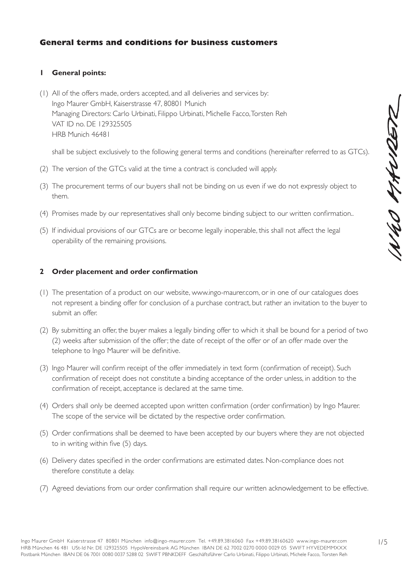# **General terms and conditions for business customers**

# **1 General points:**

(1) All of the offers made, orders accepted, and all deliveries and services by: Ingo Maurer GmbH, Kaiserstrasse 47, 80801 Munich Managing Directors: Carlo Urbinati, Filippo Urbinati, Michelle Facco, Torsten Reh VAT ID no. DE 129325505 HRB Munich 46481

shall be subject exclusively to the following general terms and conditions (hereinafter referred to as GTCs).

- (2) The version of the GTCs valid at the time a contract is concluded will apply.
- (3) The procurement terms of our buyers shall not be binding on us even if we do not expressly object to them.
- (4) Promises made by our representatives shall only become binding subject to our written confirmation..
- (5) If individual provisions of our GTCs are or become legally inoperable, this shall not affect the legal operability of the remaining provisions.

# **2 Order placement and order confirmation**

- (1) The presentation of a product on our website, www.ingo-maurer.com, or in one of our catalogues does not represent a binding offer for conclusion of a purchase contract, but rather an invitation to the buyer to submit an offer.
- (2) By submitting an offer, the buyer makes a legally binding offer to which it shall be bound for a period of two (2) weeks after submission of the offer; the date of receipt of the offer or of an offer made over the telephone to Ingo Maurer will be definitive.
- (3) Ingo Maurer will confirm receipt of the offer immediately in text form (confirmation of receipt). Such confirmation of receipt does not constitute a binding acceptance of the order unless, in addition to the confirmation of receipt, acceptance is declared at the same time.
- (4) Orders shall only be deemed accepted upon written confirmation (order confirmation) by Ingo Maurer. The scope of the service will be dictated by the respective order confirmation.
- (5) Order confirmations shall be deemed to have been accepted by our buyers where they are not objected to in writing within five (5) days.
- (6) Delivery dates specified in the order confirmations are estimated dates. Non-compliance does not therefore constitute a delay.
- (7) Agreed deviations from our order confirmation shall require our written acknowledgement to be effective.

INUO KANDETZ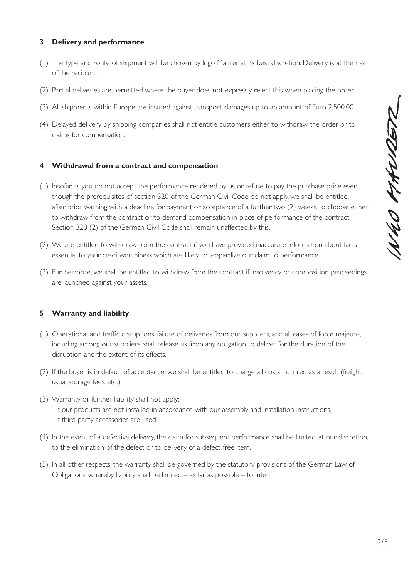# **3 Delivery and performance**

- (1) The type and route of shipment will be chosen by Ingo Maurer at its best discretion. Delivery is at the risk of the recipient.
- (2) Partial deliveries are permitted where the buyer does not expressly reject this when placing the order.
- (3) All shipments within Europe are insured against transport damages up to an amount of Euro 2,500.00.
- (4) Delayed delivery by shipping companies shall not entitle customers either to withdraw the order or to claims for compensation.

# **4 Withdrawal from a contract and compensation**

- (1) Insofar as you do not accept the performance rendered by us or refuse to pay the purchase price even though the prerequisites of section 320 of the German Civil Code do not apply, we shall be entitled, after prior warning with a deadline for payment or acceptance of a further two (2) weeks, to choose either to withdraw from the contract or to demand compensation in place of performance of the contract. Section 320 (2) of the German Civil Code shall remain unaffected by this.
- (2) We are entitled to withdraw from the contract if you have provided inaccurate information about facts essential to your creditworthiness which are likely to jeopardize our claim to performance.
- (3) Furthermore, we shall be entitled to withdraw from the contract if insolvency or composition proceedings are launched against your assets.

# **5 Warranty and liability**

- (1) Operational and traffic disruptions, failure of deliveries from our suppliers, and all cases of force majeure, including among our suppliers, shall release us from any obligation to deliver for the duration of the disruption and the extent of its effects.
- (2) If the buyer is in default of acceptance, we shall be entitled to charge all costs incurred as a result (freight, usual storage fees, etc.).
- (3) Warranty or further liability shall not apply:
	- if our products are not installed in accordance with our assembly and installation instructions,
	- if third-party accessories are used.
- (4) In the event of a defective delivery, the claim for subsequent performance shall be limited, at our discretion, to the elimination of the defect or to delivery of a defect-free item.
- (5) In all other respects, the warranty shall be governed by the statutory provisions of the German Law of Obligations, whereby liability shall be limited  $-$  as far as possible  $-$  to intent.

1N40 MAURETZ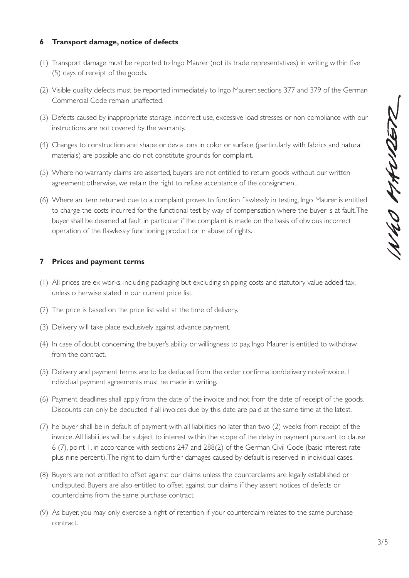# 1N40 MAW2ER

# **6 Transport damage, notice of defects**

- (1) Transport damage must be reported to Ingo Maurer (not its trade representatives) in writing within five (5) days of receipt of the goods.
- (2) Visible quality defects must be reported immediately to Ingo Maurer; sections 377 and 379 of the German Commercial Code remain unaffected.
- (3) Defects caused by inappropriate storage, incorrect use, excessive load stresses or non-compliance with our instructions are not covered by the warranty.
- (4) Changes to construction and shape or deviations in color or surface (particularly with fabrics and natural materials) are possible and do not constitute grounds for complaint.
- (5) Where no warranty claims are asserted, buyers are not entitled to return goods without our written agreement; otherwise, we retain the right to refuse acceptance of the consignment.
- (6) Where an item returned due to a complaint proves to function flawlessly in testing, Ingo Maurer is entitled to charge the costs incurred for the functional test by way of compensation where the buyer is at fault. The buyer shall be deemed at fault in particular if the complaint is made on the basis of obvious incorrect operation of the flawlessly functioning product or in abuse of rights.

### **7 Prices and payment terms**

- (1) All prices are ex works, including packaging but excluding shipping costs and statutory value added tax, unless otherwise stated in our current price list.
- (2) The price is based on the price list valid at the time of delivery.
- (3) Delivery will take place exclusively against advance payment.
- (4) In case of doubt concerning the buyer's ability or willingness to pay, Ingo Maurer is entitled to withdraw from the contract.
- (5) Delivery and payment terms are to be deduced from the order confirmation/delivery note/invoice. I ndividual payment agreements must be made in writing.
- (6) Payment deadlines shall apply from the date of the invoice and not from the date of receipt of the goods. Discounts can only be deducted if all invoices due by this date are paid at the same time at the latest.
- (7) he buyer shall be in default of payment with all liabilities no later than two (2) weeks from receipt of the invoice. All liabilities will be subject to interest within the scope of the delay in payment pursuant to clause 6 (7), point 1, in accordance with sections 247 and 288(2) of the German Civil Code (basic interest rate plus nine percent). The right to claim further damages caused by default is reserved in individual cases.
- (8) Buyers are not entitled to offset against our claims unless the counterclaims are legally established or undisputed. Buyers are also entitled to offset against our claims if they assert notices of defects or counterclaims from the same purchase contract.
- (9) As buyer, you may only exercise a right of retention if your counterclaim relates to the same purchase contract.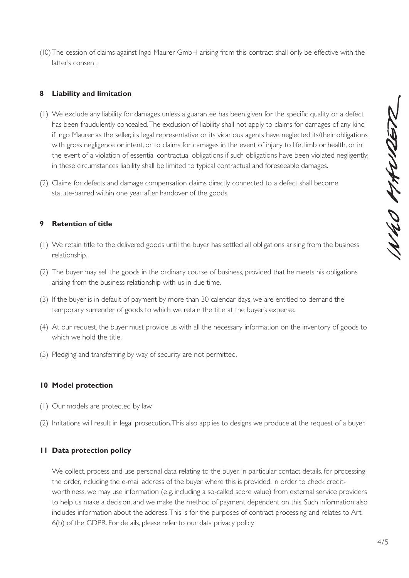(10)The cession of claims against Ingo Maurer GmbH arising from this contract shall only be effective with the latter's consent.

# **8 Liability and limitation**

- (1) We exclude any liability for damages unless a guarantee has been given for the specific quality or a defect has been fraudulently concealed. The exclusion of liability shall not apply to claims for damages of any kind if Ingo Maurer as the seller, its legal representative or its vicarious agents have neglected its/their obligations with gross negligence or intent, or to claims for damages in the event of injury to life, limb or health, or in the event of a violation of essential contractual obligations if such obligations have been violated negligently; in these circumstances liability shall be limited to typical contractual and foreseeable damages.
- (2) Claims for defects and damage compensation claims directly connected to a defect shall become statute-barred within one year after handover of the goods.

### **9 Retention of title**

- (1) We retain title to the delivered goods until the buyer has settled all obligations arising from the business relationship.
- (2) The buyer may sell the goods in the ordinary course of business, provided that he meets his obligations arising from the business relationship with us in due time.
- (3) If the buyer is in default of payment by more than 30 calendar days, we are entitled to demand the temporary surrender of goods to which we retain the title at the buyer's expense.
- (4) At our request, the buyer must provide us with all the necessary information on the inventory of goods to which we hold the title.
- (5) Pledging and transferring by way of security are not permitted.

### **10 Model protection**

- (1) Our models are protected by law.
- (2) Imitations will result in legal prosecution. This also applies to designs we produce at the request of a buyer.

### **11 Data protection policy**

We collect, process and use personal data relating to the buyer, in particular contact details, for processing the order, including the e-mail address of the buyer where this is provided. In order to check creditworthiness, we may use information (e.g. including a so-called score value) from external service providers to help us make a decision, and we make the method of payment dependent on this. Such information also includes information about the address. This is for the purposes of contract processing and relates to Art. 6(b) of the GDPR. For details, please refer to our data privacy policy.

WHO MANDER